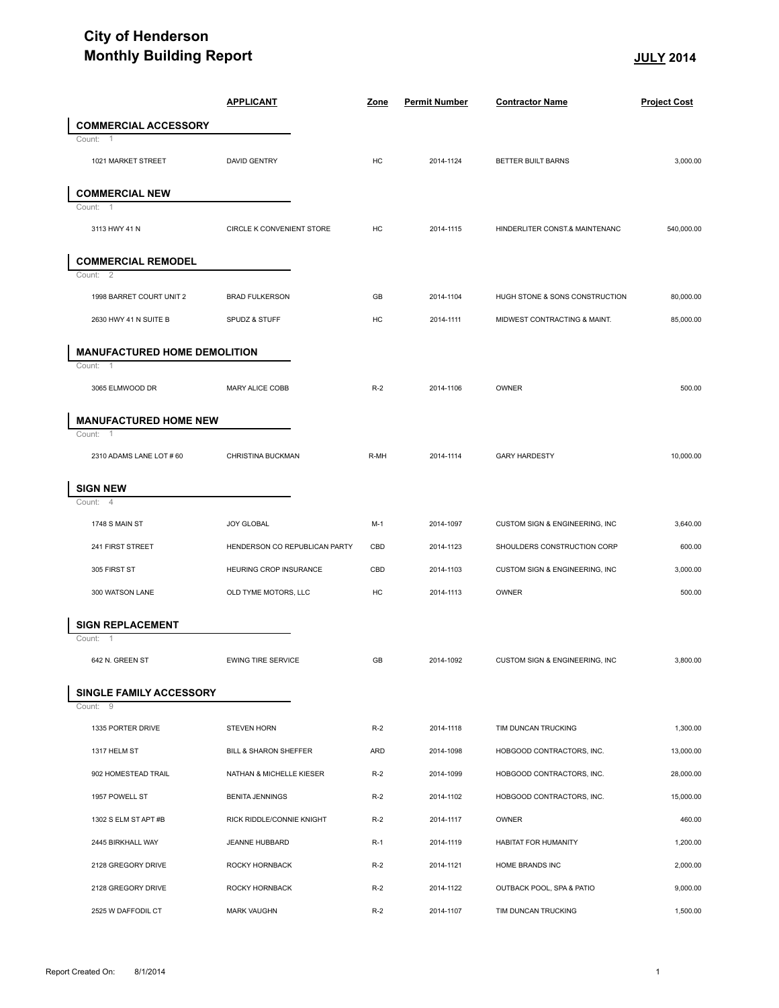## **City of Henderson Monthly Building Report JULY** 2014

| <b>Monthly Building Report</b>                      |                               |             | <b>JULY 2014</b>     |                                |                     |
|-----------------------------------------------------|-------------------------------|-------------|----------------------|--------------------------------|---------------------|
|                                                     | <b>APPLICANT</b>              | <b>Zone</b> | <b>Permit Number</b> | <b>Contractor Name</b>         | <b>Project Cost</b> |
| <b>COMMERCIAL ACCESSORY</b>                         |                               |             |                      |                                |                     |
| Count:<br>1021 MARKET STREET                        | <b>DAVID GENTRY</b>           | HC          | 2014-1124            | BETTER BUILT BARNS             | 3,000.00            |
| <b>COMMERCIAL NEW</b>                               |                               |             |                      |                                |                     |
| Count:<br>$\overline{1}$                            |                               |             |                      |                                |                     |
| 3113 HWY 41 N                                       | CIRCLE K CONVENIENT STORE     | HC          | 2014-1115            | HINDERLITER CONST.& MAINTENANC | 540,000.00          |
| <b>COMMERCIAL REMODEL</b>                           |                               |             |                      |                                |                     |
| Count:<br>2<br>1998 BARRET COURT UNIT 2             | <b>BRAD FULKERSON</b>         | GB          | 2014-1104            | HUGH STONE & SONS CONSTRUCTION | 80,000.00           |
| 2630 HWY 41 N SUITE B                               | SPUDZ & STUFF                 | HC          | 2014-1111            | MIDWEST CONTRACTING & MAINT.   | 85,000.00           |
|                                                     |                               |             |                      |                                |                     |
| <b>MANUFACTURED HOME DEMOLITION</b><br>Count:<br>-1 |                               |             |                      |                                |                     |
| 3065 ELMWOOD DR                                     | MARY ALICE COBB               | $R-2$       | 2014-1106            | OWNER                          | 500.00              |
| <b>MANUFACTURED HOME NEW</b>                        |                               |             |                      |                                |                     |
| Count:<br>$\overline{1}$                            |                               |             |                      |                                |                     |
| 2310 ADAMS LANE LOT #60                             | CHRISTINA BUCKMAN             | R-MH        | 2014-1114            | <b>GARY HARDESTY</b>           | 10,000.00           |
| <b>SIGN NEW</b><br>$\overline{4}$<br>Count:         |                               |             |                      |                                |                     |
| 1748 S MAIN ST                                      | JOY GLOBAL                    | $M-1$       | 2014-1097            | CUSTOM SIGN & ENGINEERING, INC | 3,640.00            |
| 241 FIRST STREET                                    | HENDERSON CO REPUBLICAN PARTY | CBD         | 2014-1123            | SHOULDERS CONSTRUCTION CORP    | 600.00              |
| 305 FIRST ST                                        | <b>HEURING CROP INSURANCE</b> | CBD         | 2014-1103            | CUSTOM SIGN & ENGINEERING, INC | 3,000.00            |
| 300 WATSON LANE                                     | OLD TYME MOTORS, LLC          | HC          | 2014-1113            | OWNER                          | 500.00              |
| SIGN REPLACEMENT                                    |                               |             |                      |                                |                     |
| Count: 1<br>642 N. GREEN ST                         | <b>EWING TIRE SERVICE</b>     | GB          | 2014-1092            | CUSTOM SIGN & ENGINEERING, INC | 3,800.00            |
| SINGLE FAMILY ACCESSORY                             |                               |             |                      |                                |                     |
| Count: 9                                            |                               |             |                      |                                |                     |
| 1335 PORTER DRIVE                                   | STEVEN HORN                   | $R-2$       | 2014-1118            | TIM DUNCAN TRUCKING            | 1,300.00            |
| 1317 HELM ST                                        | BILL & SHARON SHEFFER         | <b>ARD</b>  | 2014-1098            | HOBGOOD CONTRACTORS, INC.      | 13,000.00           |
| 902 HOMESTEAD TRAIL                                 | NATHAN & MICHELLE KIESER      | $R-2$       | 2014-1099            | HOBGOOD CONTRACTORS, INC.      | 28,000.00           |
| 1957 POWELL ST                                      | <b>BENITA JENNINGS</b>        | $R-2$       | 2014-1102            | HOBGOOD CONTRACTORS, INC.      | 15,000.00           |
| 1302 S ELM ST APT #B                                | RICK RIDDLE/CONNIE KNIGHT     | $R-2$       | 2014-1117            | OWNER                          | 460.00              |
| 2445 BIRKHALL WAY                                   | JEANNE HUBBARD                | $R-1$       | 2014-1119            | HABITAT FOR HUMANITY           | 1,200.00            |
| 2128 GREGORY DRIVE                                  | ROCKY HORNBACK                | $R-2$       | 2014-1121            | HOME BRANDS INC                | 2,000.00            |
| 2128 GREGORY DRIVE                                  | ROCKY HORNBACK                | $R-2$       | 2014-1122            | OUTBACK POOL, SPA & PATIO      | 9,000.00            |
|                                                     |                               |             |                      |                                | 1,500.00            |